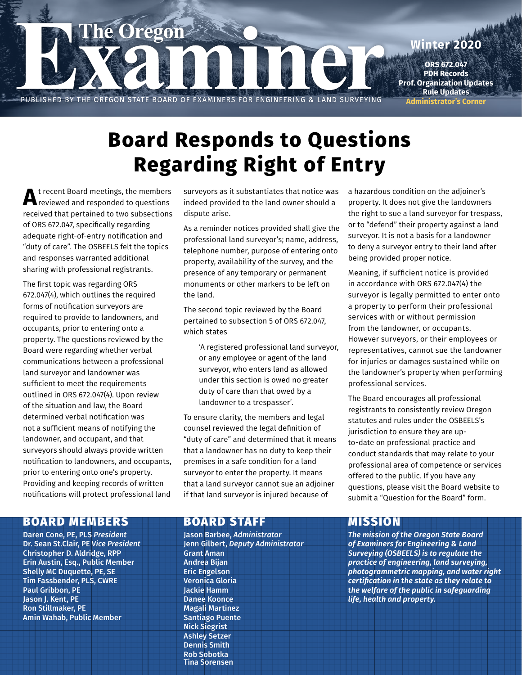

# **Regarding Right of Entry Board Responds to Questions**

**A**t recent Board meetings, the members reviewed and responded to questions received that pertained to two subsections of ORS 672.047, specifically regarding adequate right-of-entry notification and "duty of care". The OSBEELS felt the topics and responses warranted additional sharing with professional registrants.

The first topic was regarding ORS 672.047(4), which outlines the required forms of notification surveyors are required to provide to landowners, and occupants, prior to entering onto a property. The questions reviewed by the Board were regarding whether verbal communications between a professional land surveyor and landowner was sufficient to meet the requirements outlined in ORS 672.047(4). Upon review of the situation and law, the Board determined verbal notification was not a sufficient means of notifying the landowner, and occupant, and that surveyors should always provide written notification to landowners, and occupants, prior to entering onto one's property. Providing and keeping records of written notifications will protect professional land

#### surveyors as it substantiates that notice was indeed provided to the land owner should a dispute arise.

As a reminder notices provided shall give the professional land surveyor's; name, address, telephone number, purpose of entering onto property, availability of the survey, and the presence of any temporary or permanent monuments or other markers to be left on the land.

The second topic reviewed by the Board pertained to subsection 5 of ORS 672.047, which states

'A registered professional land surveyor, or any employee or agent of the land surveyor, who enters land as allowed under this section is owed no greater duty of care than that owed by a landowner to a trespasser'.

To ensure clarity, the members and legal counsel reviewed the legal definition of "duty of care" and determined that it means that a landowner has no duty to keep their premises in a safe condition for a land surveyor to enter the property. It means that a land surveyor cannot sue an adjoiner if that land surveyor is injured because of

a hazardous condition on the adjoiner's property. It does not give the landowners the right to sue a land surveyor for trespass, or to "defend" their property against a land surveyor. It is not a basis for a landowner to deny a surveyor entry to their land after being provided proper notice.

Meaning, if sufficient notice is provided in accordance with ORS 672.047(4) the surveyor is legally permitted to enter onto a property to perform their professional services with or without permission from the landowner, or occupants. However surveyors, or their employees or representatives, cannot sue the landowner for injuries or damages sustained while on the landowner's property when performing professional services.

The Board encourages all professional registrants to consistently review Oregon statutes and rules under the OSBEELS's jurisdiction to ensure they are upto-date on professional practice and conduct standards that may relate to your professional area of competence or services offered to the public. If you have any questions, please visit the Board website to submit a "Question for the Board" form.

## BOARD MEMBERS BOARD STAFF MISSION

Daren Cone, PE, PLS *President* Dr. Sean St.Clair, PE *Vice President* Christopher D. Aldridge, RPP Erin Austin, Esq., Public Member Shelly MC Duquette, PE, SE Tim Fassbender, PLS, CWRE Paul Gribbon, PE Jason J. Kent, PE Ron Stillmaker, PE Amin Wahab, Public Member

Jason Barbee, *Administrator* Jenn Gilbert, *Deputy Administrator* Grant Aman Andrea Bijan Eric Engelson Veronica Gloria Jackie Hamm Danee Koonce Magali Martinez Santiago Puente Nick Siegrist Ashley Setzer Dennis Smith Rob Sobotka Tina Sorensen

*The mission of the Oregon State Board of Examiners for Engineering & Land Surveying (OSBEELS) is to regulate the practice of engineering, land surveying, photogrammetric mapping, and water right certification in the state as they relate to the welfare of the public in safeguarding life, health and property.*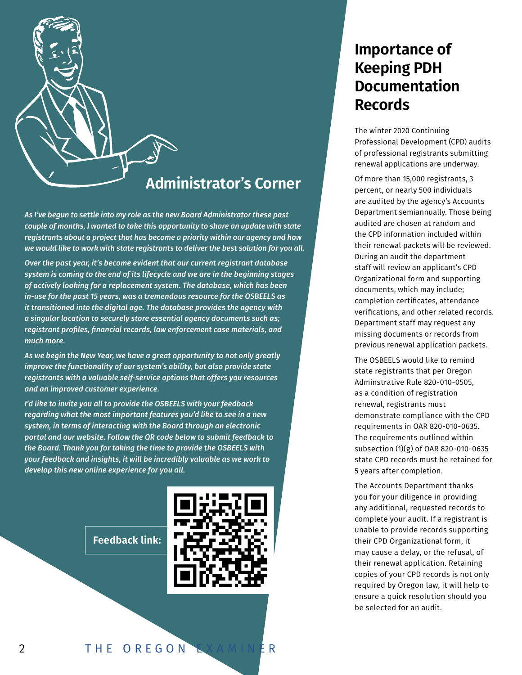

## **Administrator's Corner**

*As I've begun to settle into my role as the new Board Administrator these past couple of months, I wanted to take this opportunity to share an update with state registrants about a project that has become a priority within our agency and how we would like to work with state registrants to deliver the best solution for you all.* 

*Over the past year, it's become evident that our current registrant database system is coming to the end of its lifecycle and we are in the beginning stages of actively looking for a replacement system. The database, which has been in-use for the past 15 years, was a tremendous resource for the OSBEELS as it transitioned into the digital age. The database provides the agency with a singular location to securely store essential agency documents such as; registrant profiles, financial records, law enforcement case materials, and much more.* 

*As we begin the New Year, we have a great opportunity to not only greatly improve the functionality of our system's ability, but also provide state registrants with a valuable self-service options that offers you resources and an improved customer experience.* 

*I'd like to invite you all to provide the OSBEELS with your feedback regarding what the most important features you'd like to see in a new system, in terms of interacting with the Board through an electronic portal and our website. Follow the QR code below to submit feedback to the Board. Thank you for taking the time to provide the OSBEELS with your feedback and insights, it will be incredibly valuable as we work to develop this new online experience for you all.*



## **Importance of Keeping PDH Documentation Records**

The winter 2020 Continuing Professional Development (CPD) audits of professional registrants submitting renewal applications are underway.

Of more than 15,000 registrants, 3 percent, or nearly 500 individuals are audited by the agency's Accounts Department semiannually. Those being audited are chosen at random and the CPD information included within their renewal packets will be reviewed. During an audit the department staff will review an applicant's CPD Organizational form and supporting documents, which may include; completion certificates, attendance verifications, and other related records. Department staff may request any missing documents or records from previous renewal application packets.

The OSBEELS would like to remind state registrants that per Oregon Adminstrative Rule 820-010-0505, as a condition of registration renewal, registrants must demonstrate compliance with the CPD requirements in OAR 820-010-0635. The requirements outlined within subsection (1)(g) of OAR 820-010-0635 state CPD records must be retained for 5 years after completion.

The Accounts Department thanks you for your diligence in providing any additional, requested records to complete your audit. If a registrant is unable to provide records supporting their CPD Organizational form, it may cause a delay, or the refusal, of their renewal application. Retaining copies of your CPD records is not only required by Oregon law, it will help to ensure a quick resolution should you be selected for an audit.

**Feedback link:**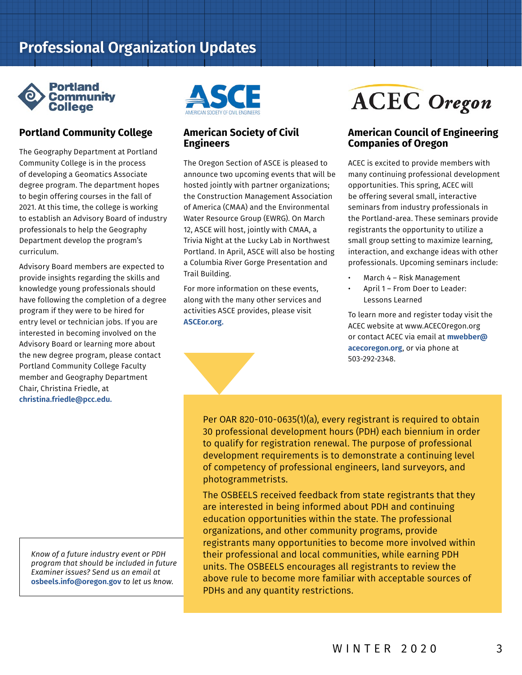## **Professional Organization Updates**



### **Portland Community College**

The Geography Department at Portland Community College is in the process of developing a Geomatics Associate degree program. The department hopes to begin offering courses in the fall of 2021. At this time, the college is working to establish an Advisory Board of industry professionals to help the Geography Department develop the program's curriculum.

Advisory Board members are expected to provide insights regarding the skills and knowledge young professionals should have following the completion of a degree program if they were to be hired for entry level or technician jobs. If you are interested in becoming involved on the Advisory Board or learning more about the new degree program, please contact Portland Community College Faculty member and Geography Department Chair, Christina Friedle, at **[christina.friedle@pcc.edu](mailto:christina.friedle%40pcc.edu?subject=Advisory%20Board).** 

*Know of a future industry event or PDH program that should be included in future Examiner issues? Send us an email at*  **[osbeels.info@oregon.gov](mailto:osbeels.info%40oregon.gov?subject=PDH%20Program)** *to let us know.*



#### **American Society of Civil Engineers**

The Oregon Section of ASCE is pleased to announce two upcoming events that will be hosted jointly with partner organizations; the Construction Management Association of America (CMAA) and the Environmental Water Resource Group (EWRG). On March 12, ASCE will host, jointly with CMAA, a Trivia Night at the Lucky Lab in Northwest Portland. In April, ASCE will also be hosting a Columbia River Gorge Presentation and Trail Building.

For more information on these events, along with the many other services and activities ASCE provides, please visit **[ASCEor.org](https://ASCEor.org).**



# **ACEC** Oregon

#### **American Council of Engineering Companies of Oregon**

ACEC is excited to provide members with many continuing professional development opportunities. This spring, ACEC will be offering several small, interactive seminars from industry professionals in the Portland-area. These seminars provide registrants the opportunity to utilize a small group setting to maximize learning, interaction, and exchange ideas with other professionals. Upcoming seminars include:

- March 4 Risk Management
- April 1 From Doer to Leader: Lessons Learned

To learn more and register today visit the ACEC website at www.ACECOregon.org or contact ACEC via email at **[mwebber@](mailto:mwebber%40acecoregon.org?subject=ACEC%20Programs) [acecoregon.org](mailto:mwebber%40acecoregon.org?subject=ACEC%20Programs)**, or via phone at 503-292-2348.

Per OAR 820-010-0635(1)(a), every registrant is required to obtain 30 professional development hours (PDH) each biennium in order to qualify for registration renewal. The purpose of professional development requirements is to demonstrate a continuing level of competency of professional engineers, land surveyors, and photogrammetrists.

The OSBEELS received feedback from state registrants that they are interested in being informed about PDH and continuing education opportunities within the state. The professional organizations, and other community programs, provide registrants many opportunities to become more involved within their professional and local communities, while earning PDH units. The OSBEELS encourages all registrants to review the above rule to become more familiar with acceptable sources of PDHs and any quantity restrictions.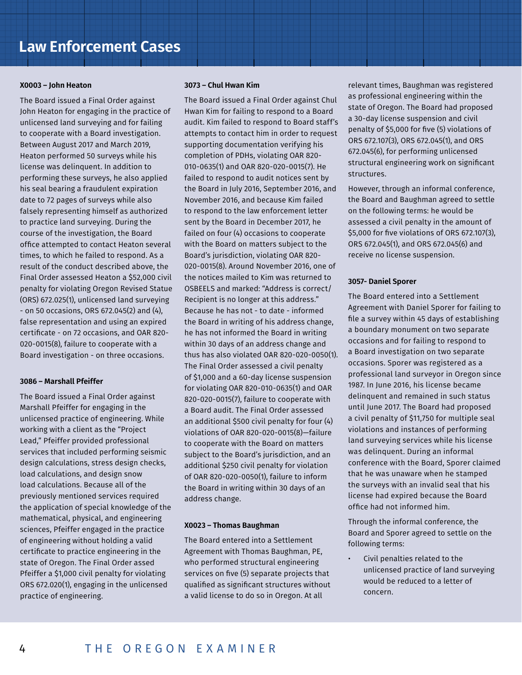## **Law Enforcement Cases**

#### **X0003 – John Heaton**

The Board issued a Final Order against John Heaton for engaging in the practice of unlicensed land surveying and for failing to cooperate with a Board investigation. Between August 2017 and March 2019, Heaton performed 50 surveys while his license was delinquent. In addition to performing these surveys, he also applied his seal bearing a fraudulent expiration date to 72 pages of surveys while also falsely representing himself as authorized to practice land surveying. During the course of the investigation, the Board office attempted to contact Heaton several times, to which he failed to respond. As a result of the conduct described above, the Final Order assessed Heaton a \$52,000 civil penalty for violating Oregon Revised Statue (ORS) 672.025(1), unlicensed land surveying - on 50 occasions, ORS 672.045(2) and (4), false representation and using an expired certificate - on 72 occasions, and OAR 820- 020-0015(8), failure to cooperate with a Board investigation - on three occasions.

#### **3086 – Marshall Pfeiffer**

The Board issued a Final Order against Marshall Pfeiffer for engaging in the unlicensed practice of engineering. While working with a client as the "Project Lead," Pfeiffer provided professional services that included performing seismic design calculations, stress design checks, load calculations, and design snow load calculations. Because all of the previously mentioned services required the application of special knowledge of the mathematical, physical, and engineering sciences, Pfeiffer engaged in the practice of engineering without holding a valid certificate to practice engineering in the state of Oregon. The Final Order assed Pfeiffer a \$1,000 civil penalty for violating ORS 672.020(1), engaging in the unlicensed practice of engineering.

#### **3073 – Chul Hwan Kim**

The Board issued a Final Order against Chul Hwan Kim for failing to respond to a Board audit. Kim failed to respond to Board staff's attempts to contact him in order to request supporting documentation verifying his completion of PDHs, violating OAR 820- 010-0635(1) and OAR 820-020-0015(7). He failed to respond to audit notices sent by the Board in July 2016, September 2016, and November 2016, and because Kim failed to respond to the law enforcement letter sent by the Board in December 2017, he failed on four (4) occasions to cooperate with the Board on matters subject to the Board's jurisdiction, violating OAR 820- 020-0015(8). Around November 2016, one of the notices mailed to Kim was returned to OSBEELS and marked: "Address is correct/ Recipient is no longer at this address." Because he has not - to date - informed the Board in writing of his address change, he has not informed the Board in writing within 30 days of an address change and thus has also violated OAR 820-020-0050(1). The Final Order assessed a civil penalty of \$1,000 and a 60-day license suspension for violating OAR 820-010-0635(1) and OAR 820-020-0015(7), failure to cooperate with a Board audit. The Final Order assessed an additional \$500 civil penalty for four (4) violations of OAR 820-020-0015(8)—failure to cooperate with the Board on matters subject to the Board's jurisdiction, and an additional \$250 civil penalty for violation of OAR 820-020-0050(1), failure to inform the Board in writing within 30 days of an address change.

#### **X0023 – Thomas Baughman**

The Board entered into a Settlement Agreement with Thomas Baughman, PE, who performed structural engineering services on five (5) separate projects that qualified as significant structures without a valid license to do so in Oregon. At all

relevant times, Baughman was registered as professional engineering within the state of Oregon. The Board had proposed a 30-day license suspension and civil penalty of \$5,000 for five (5) violations of ORS 672.107(3), ORS 672.045(1), and ORS 672.045(6), for performing unlicensed structural engineering work on significant structures.

However, through an informal conference, the Board and Baughman agreed to settle on the following terms: he would be assessed a civil penalty in the amount of \$5,000 for five violations of ORS 672.107(3), ORS 672.045(1), and ORS 672.045(6) and receive no license suspension.

#### **3057- Daniel Sporer**

The Board entered into a Settlement Agreement with Daniel Sporer for failing to file a survey within 45 days of establishing a boundary monument on two separate occasions and for failing to respond to a Board investigation on two separate occasions. Sporer was registered as a professional land surveyor in Oregon since 1987. In June 2016, his license became delinquent and remained in such status until June 2017. The Board had proposed a civil penalty of \$11,750 for multiple seal violations and instances of performing land surveying services while his license was delinquent. During an informal conference with the Board, Sporer claimed that he was unaware when he stamped the surveys with an invalid seal that his license had expired because the Board office had not informed him.

Through the informal conference, the Board and Sporer agreed to settle on the following terms:

• Civil penalties related to the unlicensed practice of land surveying would be reduced to a letter of concern.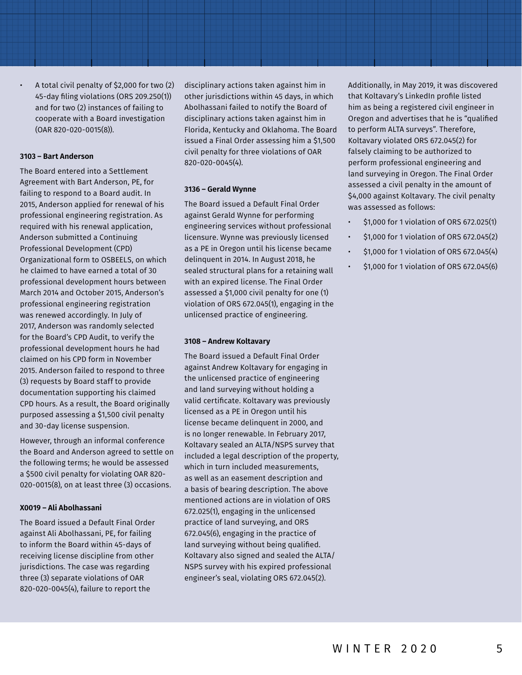• A total civil penalty of \$2,000 for two (2) 45-day filing violations (ORS 209.250(1)) and for two (2) instances of failing to cooperate with a Board investigation (OAR 820-020-0015(8)).

#### **3103 – Bart Anderson**

The Board entered into a Settlement Agreement with Bart Anderson, PE, for failing to respond to a Board audit. In 2015, Anderson applied for renewal of his professional engineering registration. As required with his renewal application, Anderson submitted a Continuing Professional Development (CPD) Organizational form to OSBEELS, on which he claimed to have earned a total of 30 professional development hours between March 2014 and October 2015, Anderson's professional engineering registration was renewed accordingly. In July of 2017, Anderson was randomly selected for the Board's CPD Audit, to verify the professional development hours he had claimed on his CPD form in November 2015. Anderson failed to respond to three (3) requests by Board staff to provide documentation supporting his claimed CPD hours. As a result, the Board originally purposed assessing a \$1,500 civil penalty and 30-day license suspension.

However, through an informal conference the Board and Anderson agreed to settle on the following terms; he would be assessed a \$500 civil penalty for violating OAR 820- 020-0015(8), on at least three (3) occasions.

#### **X0019 – Ali Abolhassani**

The Board issued a Default Final Order against Ali Abolhassani, PE, for failing to inform the Board within 45-days of receiving license discipline from other jurisdictions. The case was regarding three (3) separate violations of OAR 820-020-0045(4), failure to report the

disciplinary actions taken against him in other jurisdictions within 45 days, in which Abolhassani failed to notify the Board of disciplinary actions taken against him in Florida, Kentucky and Oklahoma. The Board issued a Final Order assessing him a \$1,500 civil penalty for three violations of OAR 820-020-0045(4).

#### **3136 – Gerald Wynne**

The Board issued a Default Final Order against Gerald Wynne for performing engineering services without professional licensure. Wynne was previously licensed as a PE in Oregon until his license became delinquent in 2014. In August 2018, he sealed structural plans for a retaining wall with an expired license. The Final Order assessed a \$1,000 civil penalty for one (1) violation of ORS 672.045(1), engaging in the unlicensed practice of engineering.

#### **3108 – Andrew Koltavary**

The Board issued a Default Final Order against Andrew Koltavary for engaging in the unlicensed practice of engineering and land surveying without holding a valid certificate. Koltavary was previously licensed as a PE in Oregon until his license became delinquent in 2000, and is no longer renewable. In February 2017, Koltavary sealed an ALTA/NSPS survey that included a legal description of the property, which in turn included measurements, as well as an easement description and a basis of bearing description. The above mentioned actions are in violation of ORS 672.025(1), engaging in the unlicensed practice of land surveying, and ORS 672.045(6), engaging in the practice of land surveying without being qualified. Koltavary also signed and sealed the ALTA/ NSPS survey with his expired professional engineer's seal, violating ORS 672.045(2).

Additionally, in May 2019, it was discovered that Koltavary's LinkedIn profile listed him as being a registered civil engineer in Oregon and advertises that he is "qualified to perform ALTA surveys". Therefore, Koltavary violated ORS 672.045(2) for falsely claiming to be authorized to perform professional engineering and land surveying in Oregon. The Final Order assessed a civil penalty in the amount of \$4,000 against Koltavary. The civil penalty was assessed as follows:

- \$1,000 for 1 violation of ORS 672.025(1)
- \$1,000 for 1 violation of ORS 672.045(2)
- \$1,000 for 1 violation of ORS 672.045(4)
- \$1,000 for 1 violation of ORS 672.045(6)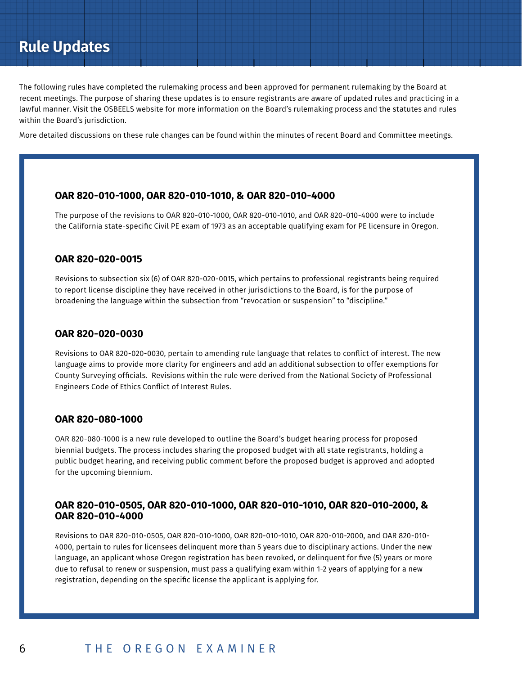## **Rule Updates**

The following rules have completed the rulemaking process and been approved for permanent rulemaking by the Board at recent meetings. The purpose of sharing these updates is to ensure registrants are aware of updated rules and practicing in a lawful manner. Visit the OSBEELS website for more information on the Board's rulemaking process and the statutes and rules within the Board's jurisdiction.

More detailed discussions on these rule changes can be found within the minutes of recent Board and Committee meetings.

#### **OAR 820-010-1000, OAR 820-010-1010, & OAR 820-010-4000**

The purpose of the revisions to OAR 820-010-1000, OAR 820-010-1010, and OAR 820-010-4000 were to include the California state-specific Civil PE exam of 1973 as an acceptable qualifying exam for PE licensure in Oregon.

#### **OAR 820-020-0015**

Revisions to subsection six (6) of OAR 820-020-0015, which pertains to professional registrants being required to report license discipline they have received in other jurisdictions to the Board, is for the purpose of broadening the language within the subsection from "revocation or suspension" to "discipline."

#### **OAR 820-020-0030**

Revisions to OAR 820-020-0030, pertain to amending rule language that relates to conflict of interest. The new language aims to provide more clarity for engineers and add an additional subsection to offer exemptions for County Surveying officials. Revisions within the rule were derived from the National Society of Professional Engineers Code of Ethics Conflict of Interest Rules.

#### **OAR 820-080-1000**

OAR 820-080-1000 is a new rule developed to outline the Board's budget hearing process for proposed biennial budgets. The process includes sharing the proposed budget with all state registrants, holding a public budget hearing, and receiving public comment before the proposed budget is approved and adopted for the upcoming biennium.

#### **OAR 820-010-0505, OAR 820-010-1000, OAR 820-010-1010, OAR 820-010-2000, & OAR 820-010-4000**

Revisions to OAR 820-010-0505, OAR 820-010-1000, OAR 820-010-1010, OAR 820-010-2000, and OAR 820-010- 4000, pertain to rules for licensees delinquent more than 5 years due to disciplinary actions. Under the new language, an applicant whose Oregon registration has been revoked, or delinquent for five (5) years or more due to refusal to renew or suspension, must pass a qualifying exam within 1-2 years of applying for a new registration, depending on the specific license the applicant is applying for.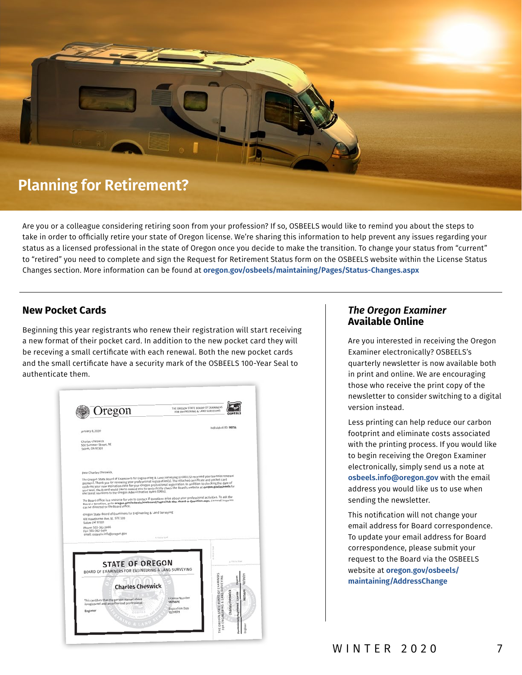

## **Planning for Retirement?**

Are you or a colleague considering retiring soon from your profession? If so, OSBEELS would like to remind you about the steps to take in order to officially retire your state of Oregon license. We're sharing this information to help prevent any issues regarding your status as a licensed professional in the state of Oregon once you decide to make the transition. To change your status from "current" to "retired" you need to complete and sign the Request for Retirement Status form on the OSBEELS website within the License Status Changes section. More information can be found at **[oregon.gov/osbeels/maintaining/Pages/Status-Changes.aspx](https://www.oregon.gov/osbeels/maintaining/Pages/Status-Changes.aspx )** 

#### **New Pocket Cards**

Beginning this year registrants who renew their registration will start receiving a new format of their pocket card. In addition to the new pocket card they will be receving a small certificate with each renewal. Both the new pocket cards and the small certificate have a security mark of the OSBEELS 100-Year Seal to authenticate them.



#### *The Oregon Examiner*  **Available Online**

Are you interested in receiving the Oregon Examiner electronically? OSBEELS's quarterly newsletter is now available both in print and online. We are encouraging those who receive the print copy of the newsletter to consider switching to a digital version instead.

Less printing can help reduce our carbon footprint and eliminate costs associated with the printing process. If you would like to begin receiving the Oregon Examiner electronically, simply send us a note at **[osbeels.info@oregon.gov](mailto:osbeels.info%40oregon.gov?subject=Online%20Examiner)** with the email address you would like us to use when sending the newsletter.

This notification will not change your email address for Board correspondence. To update your email address for Board correspondence, please submit your request to the Board via the OSBEELS website at **[oregon.gov/osbeels/](https://oregon.gov/osbeels/maintaining/AddressChange) [maintaining/AddressChange](https://oregon.gov/osbeels/maintaining/AddressChange)**